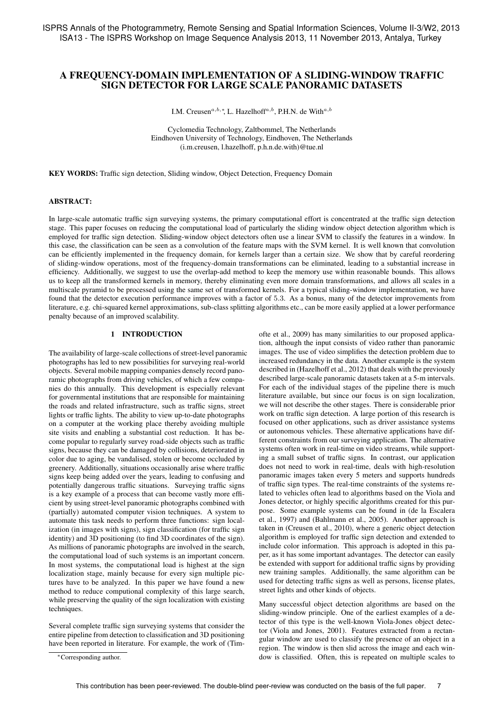# A FREQUENCY-DOMAIN IMPLEMENTATION OF A SLIDING-WINDOW TRAFFIC SIGN DETECTOR FOR LARGE SCALE PANORAMIC DATASETS

I.M. Creusen<sup> $a, b, *,$ </sup> L. Hazelhoff<sup> $a, b$ </sup>, P.H.N. de With $a, b$ 

Cyclomedia Technology, Zaltbommel, The Netherlands Eindhoven University of Technology, Eindhoven, The Netherlands (i.m.creusen, l.hazelhoff, p.h.n.de.with)@tue.nl

KEY WORDS: Traffic sign detection, Sliding window, Object Detection, Frequency Domain

## ABSTRACT:

In large-scale automatic traffic sign surveying systems, the primary computational effort is concentrated at the traffic sign detection stage. This paper focuses on reducing the computational load of particularly the sliding window object detection algorithm which is employed for traffic sign detection. Sliding-window object detectors often use a linear SVM to classify the features in a window. In this case, the classification can be seen as a convolution of the feature maps with the SVM kernel. It is well known that convolution can be efficiently implemented in the frequency domain, for kernels larger than a certain size. We show that by careful reordering of sliding-window operations, most of the frequency-domain transformations can be eliminated, leading to a substantial increase in efficiency. Additionally, we suggest to use the overlap-add method to keep the memory use within reasonable bounds. This allows us to keep all the transformed kernels in memory, thereby eliminating even more domain transformations, and allows all scales in a multiscale pyramid to be processed using the same set of transformed kernels. For a typical sliding-window implementation, we have found that the detector execution performance improves with a factor of 5.3. As a bonus, many of the detector improvements from literature, e.g. chi-squared kernel approximations, sub-class splitting algorithms etc., can be more easily applied at a lower performance penalty because of an improved scalability.

#### 1 INTRODUCTION

The availability of large-scale collections of street-level panoramic photographs has led to new possibilities for surveying real-world objects. Several mobile mapping companies densely record panoramic photographs from driving vehicles, of which a few companies do this annually. This development is especially relevant for governmental institutions that are responsible for maintaining the roads and related infrastructure, such as traffic signs, street lights or traffic lights. The ability to view up-to-date photographs on a computer at the working place thereby avoiding multiple site visits and enabling a substantial cost reduction. It has become popular to regularly survey road-side objects such as traffic signs, because they can be damaged by collisions, deteriorated in color due to aging, be vandalised, stolen or become occluded by greenery. Additionally, situations occasionally arise where traffic signs keep being added over the years, leading to confusing and potentially dangerous traffic situations. Surveying traffic signs is a key example of a process that can become vastly more efficient by using street-level panoramic photographs combined with (partially) automated computer vision techniques. A system to automate this task needs to perform three functions: sign localization (in images with signs), sign classification (for traffic sign identity) and 3D positioning (to find 3D coordinates of the sign). As millions of panoramic photographs are involved in the search, the computational load of such systems is an important concern. In most systems, the computational load is highest at the sign localization stage, mainly because for every sign multiple pictures have to be analyzed. In this paper we have found a new method to reduce computional complexity of this large search, while preserving the quality of the sign localization with existing techniques.

Several complete traffic sign surveying systems that consider the entire pipeline from detection to classification and 3D positioning have been reported in literature. For example, the work of (Tim-

∗Corresponding author.

ofte et al., 2009) has many similarities to our proposed application, although the input consists of video rather than panoramic images. The use of video simplifies the detection problem due to increased redundancy in the data. Another example is the system described in (Hazelhoff et al., 2012) that deals with the previously described large-scale panoramic datasets taken at a 5-m intervals. For each of the individual stages of the pipeline there is much literature available, but since our focus is on sign localization, we will not describe the other stages. There is considerable prior work on traffic sign detection. A large portion of this research is focused on other applications, such as driver assistance systems or autonomous vehicles. These alternative applications have different constraints from our surveying application. The alternative systems often work in real-time on video streams, while supporting a small subset of traffic signs. In contrast, our application does not need to work in real-time, deals with high-resolution panoramic images taken every 5 meters and supports hundreds of traffic sign types. The real-time constraints of the systems related to vehicles often lead to algorithms based on the Viola and Jones detector, or highly specific algorithms created for this purpose. Some example systems can be found in (de la Escalera et al., 1997) and (Bahlmann et al., 2005). Another approach is taken in (Creusen et al., 2010), where a generic object detection algorithm is employed for traffic sign detection and extended to include color information. This approach is adopted in this paper, as it has some important advantages. The detector can easily be extended with support for additional traffic signs by providing new training samples. Additionally, the same algorithm can be used for detecting traffic signs as well as persons, license plates, street lights and other kinds of objects.

Many successful object detection algorithms are based on the sliding-window principle. One of the earliest examples of a detector of this type is the well-known Viola-Jones object detector (Viola and Jones, 2001). Features extracted from a rectangular window are used to classify the presence of an object in a region. The window is then slid across the image and each window is classified. Often, this is repeated on multiple scales to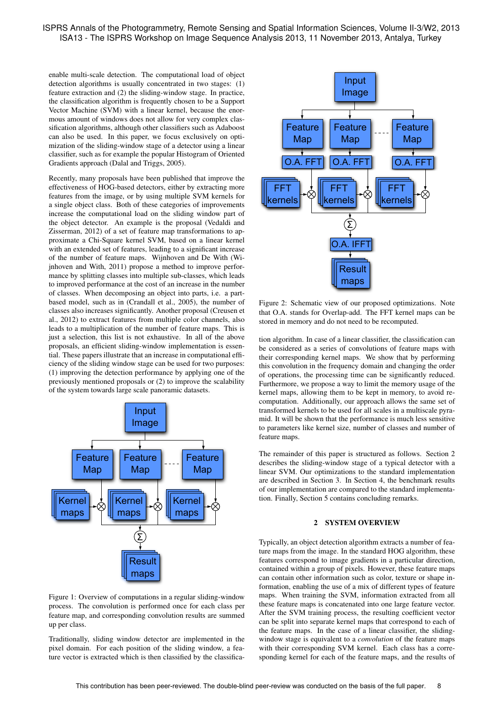# ISPRS Annals of the Photogrammetry, Remote Sensing and Spatial Information Sciences, Volume II-3/W2, 2013 ISA13 - The ISPRS Workshop on Image Sequence Analysis 2013, 11 November 2013, Antalya, Turkey

enable multi-scale detection. The computational load of object detection algorithms is usually concentrated in two stages: (1) feature extraction and (2) the sliding-window stage. In practice, the classification algorithm is frequently chosen to be a Support Vector Machine (SVM) with a linear kernel, because the enormous amount of windows does not allow for very complex classification algorithms, although other classifiers such as Adaboost can also be used. In this paper, we focus exclusively on optimization of the sliding-window stage of a detector using a linear classifier, such as for example the popular Histogram of Oriented Gradients approach (Dalal and Triggs, 2005).

Recently, many proposals have been published that improve the effectiveness of HOG-based detectors, either by extracting more features from the image, or by using multiple SVM kernels for a single object class. Both of these categories of improvements increase the computational load on the sliding window part of the object detector. An example is the proposal (Vedaldi and Zisserman, 2012) of a set of feature map transformations to approximate a Chi-Square kernel SVM, based on a linear kernel with an extended set of features, leading to a significant increase of the number of feature maps. Wijnhoven and De With (Wijnhoven and With, 2011) propose a method to improve performance by splitting classes into multiple sub-classes, which leads to improved performance at the cost of an increase in the number of classes. When decomposing an object into parts, i.e. a partbased model, such as in (Crandall et al., 2005), the number of classes also increases significantly. Another proposal (Creusen et al., 2012) to extract features from multiple color channels, also leads to a multiplication of the number of feature maps. This is just a selection, this list is not exhaustive. In all of the above proposals, an efficient sliding-window implementation is essential. These papers illustrate that an increase in computational efficiency of the sliding window stage can be used for two purposes: (1) improving the detection performance by applying one of the previously mentioned proposals or (2) to improve the scalability of the system towards large scale panoramic datasets.



Figure 1: Overview of computations in a regular sliding-window process. The convolution is performed once for each class per feature map, and corresponding convolution results are summed up per class.

Traditionally, sliding window detector are implemented in the pixel domain. For each position of the sliding window, a feature vector is extracted which is then classified by the classifica-



Figure 2: Schematic view of our proposed optimizations. Note that O.A. stands for Overlap-add. The FFT kernel maps can be stored in memory and do not need to be recomputed.

tion algorithm. In case of a linear classifier, the classification can be considered as a series of convolutions of feature maps with their corresponding kernel maps. We show that by performing this convolution in the frequency domain and changing the order of operations, the processing time can be significantly reduced. Furthermore, we propose a way to limit the memory usage of the kernel maps, allowing them to be kept in memory, to avoid recomputation. Additionally, our approach allows the same set of transformed kernels to be used for all scales in a multiscale pyramid. It will be shown that the performance is much less sensitive to parameters like kernel size, number of classes and number of feature maps.

The remainder of this paper is structured as follows. Section 2 describes the sliding-window stage of a typical detector with a linear SVM. Our optimizations to the standard implementation are described in Section 3. In Section 4, the benchmark results of our implementation are compared to the standard implementation. Finally, Section 5 contains concluding remarks.

## 2 SYSTEM OVERVIEW

Typically, an object detection algorithm extracts a number of feature maps from the image. In the standard HOG algorithm, these features correspond to image gradients in a particular direction, contained within a group of pixels. However, these feature maps can contain other information such as color, texture or shape information, enabling the use of a mix of different types of feature maps. When training the SVM, information extracted from all these feature maps is concatenated into one large feature vector. After the SVM training process, the resulting coefficient vector can be split into separate kernel maps that correspond to each of the feature maps. In the case of a linear classifier, the slidingwindow stage is equivalent to a *convolution* of the feature maps with their corresponding SVM kernel. Each class has a corresponding kernel for each of the feature maps, and the results of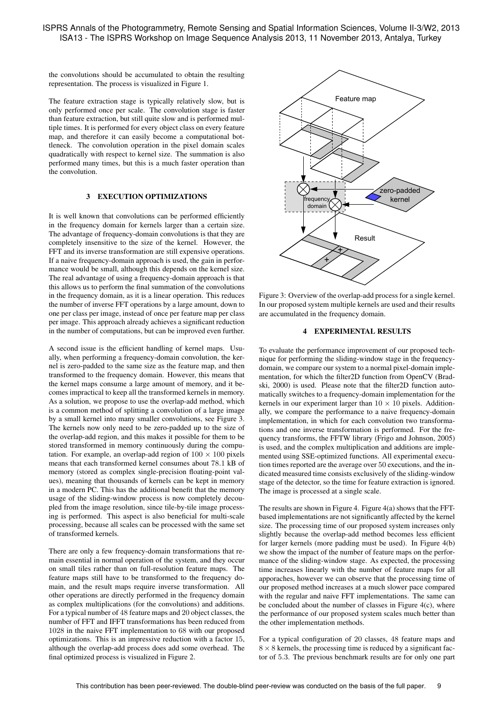the convolutions should be accumulated to obtain the resulting representation. The process is visualized in Figure 1.

The feature extraction stage is typically relatively slow, but is only performed once per scale. The convolution stage is faster than feature extraction, but still quite slow and is performed multiple times. It is performed for every object class on every feature map, and therefore it can easily become a computational bottleneck. The convolution operation in the pixel domain scales quadratically with respect to kernel size. The summation is also performed many times, but this is a much faster operation than the convolution.

#### 3 EXECUTION OPTIMIZATIONS

It is well known that convolutions can be performed efficiently in the frequency domain for kernels larger than a certain size. The advantage of frequency-domain convolutions is that they are completely insensitive to the size of the kernel. However, the FFT and its inverse transformation are still expensive operations. If a naive frequency-domain approach is used, the gain in performance would be small, although this depends on the kernel size. The real advantage of using a frequency-domain approach is that this allows us to perform the final summation of the convolutions in the frequency domain, as it is a linear operation. This reduces the number of inverse FFT operations by a large amount, down to one per class per image, instead of once per feature map per class per image. This approach already achieves a significant reduction in the number of computations, but can be improved even further.

A second issue is the efficient handling of kernel maps. Usually, when performing a frequency-domain convolution, the kernel is zero-padded to the same size as the feature map, and then transformed to the frequency domain. However, this means that the kernel maps consume a large amount of memory, and it becomes impractical to keep all the transformed kernels in memory. As a solution, we propose to use the overlap-add method, which is a common method of splitting a convolution of a large image by a small kernel into many smaller convolutions, see Figure 3. The kernels now only need to be zero-padded up to the size of the overlap-add region, and this makes it possible for them to be stored transformed in memory continuously during the computation. For example, an overlap-add region of  $100 \times 100$  pixels means that each transformed kernel consumes about 78.1 kB of memory (stored as complex single-precision floating-point values), meaning that thousands of kernels can be kept in memory in a modern PC. This has the additional benefit that the memory usage of the sliding-window process is now completely decoupled from the image resolution, since tile-by-tile image processing is performed. This aspect is also beneficial for multi-scale processing, because all scales can be processed with the same set of transformed kernels.

There are only a few frequency-domain transformations that remain essential in normal operation of the system, and they occur on small tiles rather than on full-resolution feature maps. The feature maps still have to be transformed to the frequency domain, and the result maps require inverse transformation. All other operations are directly performed in the frequency domain as complex multiplications (for the convolutions) and additions. For a typical number of 48 feature maps and 20 object classes, the number of FFT and IFFT transformations has been reduced from 1028 in the naive FFT implementation to 68 with our proposed optimizations. This is an impressive reduction with a factor 15, although the overlap-add process does add some overhead. The final optimized process is visualized in Figure 2.



Figure 3: Overview of the overlap-add process for a single kernel. In our proposed system multiple kernels are used and their results are accumulated in the frequency domain.

## 4 EXPERIMENTAL RESULTS

To evaluate the performance improvement of our proposed technique for performing the sliding-window stage in the frequencydomain, we compare our system to a normal pixel-domain implementation, for which the filter2D function from OpenCV (Bradski, 2000) is used. Please note that the filter2D function automatically switches to a frequency-domain implementation for the kernels in our experiment larger than  $10 \times 10$  pixels. Additionally, we compare the performance to a naive frequency-domain implementation, in which for each convolution two transformations and one inverse transformation is performed. For the frequency transforms, the FFTW library (Frigo and Johnson, 2005) is used, and the complex multiplication and additions are implemented using SSE-optimized functions. All experimental execution times reported are the average over 50 executions, and the indicated measured time consists exclusively of the sliding-window stage of the detector, so the time for feature extraction is ignored. The image is processed at a single scale.

The results are shown in Figure 4. Figure 4(a) shows that the FFTbased implementations are not significantly affected by the kernel size. The processing time of our proposed system increases only slightly because the overlap-add method becomes less efficient for larger kernels (more padding must be used). In Figure 4(b) we show the impact of the number of feature maps on the performance of the sliding-window stage. As expected, the processing time increases linearly with the number of feature maps for all apporaches, however we can observe that the processing time of our proposed method increases at a much slower pace compared with the regular and naive FFT implementations. The same can be concluded about the number of classes in Figure 4(c), where the performance of our proposed system scales much better than the other implementation methods.

For a typical configuration of 20 classes, 48 feature maps and  $8 \times 8$  kernels, the processing time is reduced by a significant factor of 5.3. The previous benchmark results are for only one part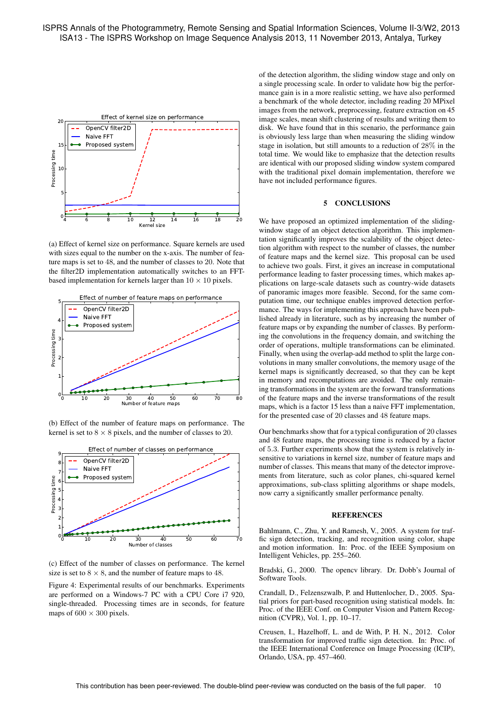

(a) Effect of kernel size on performance. Square kernels are used with sizes equal to the number on the x-axis. The number of feature maps is set to 48, and the number of classes to 20. Note that the filter2D implementation automatically switches to an FFTbased implementation for kernels larger than  $10 \times 10$  pixels.



(b) Effect of the number of feature maps on performance. The kernel is set to  $8 \times 8$  pixels, and the number of classes to 20.



(c) Effect of the number of classes on performance. The kernel size is set to  $8 \times 8$ , and the number of feature maps to 48.

Figure 4: Experimental results of our benchmarks. Experiments are performed on a Windows-7 PC with a CPU Core i7 920, single-threaded. Processing times are in seconds, for feature maps of  $600 \times 300$  pixels.

of the detection algorithm, the sliding window stage and only on a single processing scale. In order to validate how big the performance gain is in a more realistic setting, we have also performed a benchmark of the whole detector, including reading 20 MPixel images from the network, preprocessing, feature extraction on 45 image scales, mean shift clustering of results and writing them to disk. We have found that in this scenario, the performance gain is obviously less large than when measuring the sliding window stage in isolation, but still amounts to a reduction of 28% in the total time. We would like to emphasize that the detection results are identical with our proposed sliding window system compared with the traditional pixel domain implementation, therefore we have not included performance figures.

## 5 CONCLUSIONS

We have proposed an optimized implementation of the slidingwindow stage of an object detection algorithm. This implementation significantly improves the scalability of the object detection algorithm with respect to the number of classes, the number of feature maps and the kernel size. This proposal can be used to achieve two goals. First, it gives an increase in computational performance leading to faster processing times, which makes applications on large-scale datasets such as country-wide datasets of panoramic images more feasible. Second, for the same computation time, our technique enables improved detection performance. The ways for implementing this approach have been published already in literature, such as by increasing the number of feature maps or by expanding the number of classes. By performing the convolutions in the frequency domain, and switching the order of operations, multiple transformations can be eliminated. Finally, when using the overlap-add method to split the large convolutions in many smaller convolutions, the memory usage of the kernel maps is significantly decreased, so that they can be kept in memory and recomputations are avoided. The only remaining transformations in the system are the forward transformations of the feature maps and the inverse transformations of the result maps, which is a factor 15 less than a naive FFT implementation, for the presented case of 20 classes and 48 feature maps.

Our benchmarks show that for a typical configuration of 20 classes and 48 feature maps, the processing time is reduced by a factor of 5.3. Further experiments show that the system is relatively insensitive to variations in kernel size, number of feature maps and number of classes. This means that many of the detector improvements from literature, such as color planes, chi-squared kernel approximations, sub-class splitting algorithms or shape models, now carry a significantly smaller performance penalty.

#### **REFERENCES**

Bahlmann, C., Zhu, Y. and Ramesh, V., 2005. A system for traffic sign detection, tracking, and recognition using color, shape and motion information. In: Proc. of the IEEE Symposium on Intelligent Vehicles, pp. 255–260.

Bradski, G., 2000. The opencv library. Dr. Dobb's Journal of Software Tools.

Crandall, D., Felzenszwalb, P. and Huttenlocher, D., 2005. Spatial priors for part-based recognition using statistical models. In: Proc. of the IEEE Conf. on Computer Vision and Pattern Recognition (CVPR), Vol. 1, pp. 10–17.

Creusen, I., Hazelhoff, L. and de With, P. H. N., 2012. Color transformation for improved traffic sign detection. In: Proc. of the IEEE International Conference on Image Processing (ICIP), Orlando, USA, pp. 457–460.